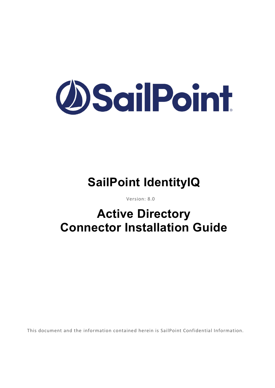

# **SailPoint IdentityIQ**

Version: 8.0

# **Active Directory Connector Installation Guide**

This document and the information contained herein is SailPoint Confidential Information.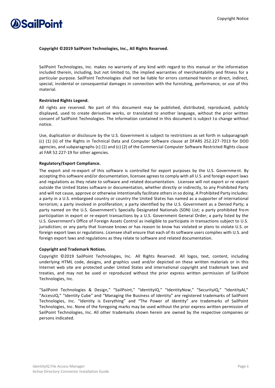

#### **Copyright ©2019 SailPoint Technologies, Inc., All Rights Reserved.**

SailPoint Technologies, Inc. makes no warranty of any kind with regard to this manual or the information included therein, including, but not limited to, the implied warranties of merchantability and fitness for a particular purpose. SailPoint Technologies shall not be liable for errors contained herein or direct, indirect, special, incidental or consequential damages in connection with the furnishing, performance, or use of this material.

### **Restricted Rights Legend.**

All rights are reserved. No part of this document may be published, distributed, reproduced, publicly displayed, used to create derivative works, or translated to another language, without the prior written consent of SailPoint Technologies. The information contained in this document is subject to change without notice.

Use, duplication or disclosure by the U.S. Government is subject to restrictions as set forth in subparagraph (c) (1) (ii) of the Rights in Technical Data and Computer Software clause at DFARS 252.227-7013 for DOD agencies, and subparagraphs (c) (1) and (c) (2) of the Commercial Computer Software Restricted Rights clause at FAR 52.227-19 for other agencies.

### **Regulatory/Export Compliance.**

The export and re-export of this software is controlled for export purposes by the U.S. Government. By accepting this software and/or documentation, licensee agrees to comply with all U.S. and foreign export laws and regulations as they relate to software and related documentation. Licensee will not export or re-export outside the United States software or documentation, whether directly or indirectly, to any Prohibited Party and will not cause, approve or otherwise intentionally facilitate others in so doing. A Prohibited Party includes: a party in a U.S. embargoed country or country the United States has named as a supporter of international terrorism; a party involved in proliferation; a party identified by the U.S. Government as a Denied Party; a party named on the U.S. Government's Specially Designated Nationals (SDN) List; a party prohibited from participation in export or re-export transactions by a U.S. Government General Order; a party listed by the U.S. Government's Office of Foreign Assets Control as ineligible to participate in transactions subject to U.S. jurisdiction; or any party that licensee knows or has reason to know has violated or plans to violate U.S. or foreign export laws or regulations. Licensee shall ensure that each of its software users complies with U.S. and foreign export laws and regulations as they relate to software and related documentation.

### **Copyright and Trademark Notices.**

Copyright ©2019 SailPoint Technologies, Inc. All Rights Reserved. All logos, text, content, including underlying HTML code, designs, and graphics used and/or depicted on these written materials or in this Internet web site are protected under United States and international copyright and trademark laws and treaties, and may not be used or reproduced without the prior express written permission of SailPoint Technologies, Inc.

"SailPoint Technologies & Design," "SailPoint," "IdentityIQ," "IdentityNow," "SecurityIQ," "IdentityAI," "AccessIQ," "Identity Cube" and "Managing the Business of Identity" are registered trademarks of SailPoint Technologies, Inc. "Identity is Everything" and "The Power of Identity" are trademarks of SailPoint Technologies, Inc. None of the foregoing marks may be used without the prior express written permission of SailPoint Technologies, Inc. All other trademarks shown herein are owned by the respective companies or persons indicated.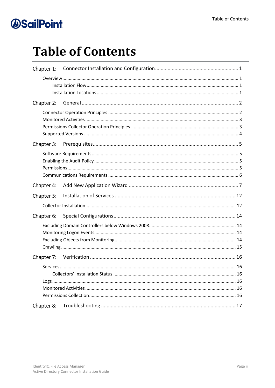# **Table of Contents**

| Chapter 1: |  |
|------------|--|
|            |  |
| Chapter 2: |  |
|            |  |
| Chapter 3: |  |
|            |  |
| Chapter 4: |  |
| Chapter 5: |  |
|            |  |
| Chapter 6: |  |
|            |  |
| Chapter 7: |  |
|            |  |
| Chapter 8: |  |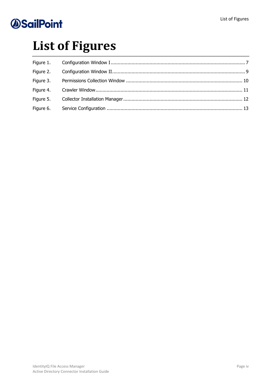# **List of Figures**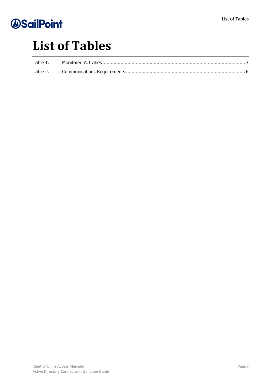# **List of Tables**

| Table 1. |  |
|----------|--|
| Table 2. |  |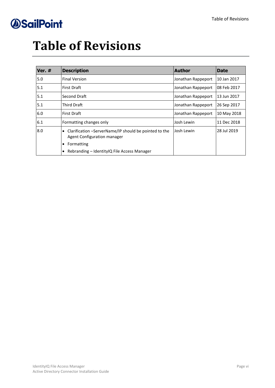# **Table of Revisions**

| Ver. # | <b>Description</b>                                                                                | <b>Author</b>      | <b>Date</b> |
|--------|---------------------------------------------------------------------------------------------------|--------------------|-------------|
| 5.0    | <b>Final Version</b>                                                                              | Jonathan Rappeport | 10 Jan 2017 |
| 5.1    | <b>First Draft</b>                                                                                | Jonathan Rappeport | 08 Feb 2017 |
| 5.1    | Second Draft                                                                                      | Jonathan Rappeport | 13 Jun 2017 |
| 5.1    | <b>Third Draft</b>                                                                                | Jonathan Rappeport | 26 Sep 2017 |
| 6.0    | <b>First Draft</b>                                                                                | Jonathan Rappeport | 10 May 2018 |
| 6.1    | Formatting changes only                                                                           | Josh Lewin         | 11 Dec 2018 |
| 8.0    | Clarification -ServerName/IP should be pointed to the<br>$\bullet$<br>Agent Configuration manager | Josh Lewin         | 28 Jul 2019 |
|        | Formatting<br>$\bullet$                                                                           |                    |             |
|        | Rebranding – Identity IQ File Access Manager                                                      |                    |             |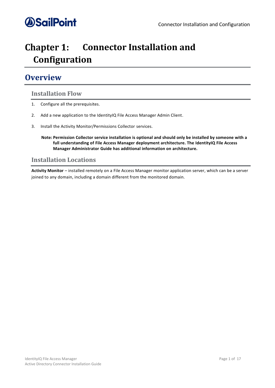

### <span id="page-6-0"></span>**Chapter 1: Connector Installation and Configuration**

### <span id="page-6-1"></span>**Overview**

### <span id="page-6-2"></span>**Installation Flow**

- 1. Configure all the prerequisites.
- 2. Add a new application to the IdentityIQ File Access Manager Admin Client.
- 3. Install the Activity Monitor/Permissions Collector services.
	- **Note: Permission Collector service installation is optional and should only be installed by someone with a full understanding of File Access Manager deployment architecture. The IdentityIQ File Access Manager Administrator Guide has additional information on architecture.**

### <span id="page-6-3"></span>**Installation Locations**

**Activity Monitor** – installed remotely on a File Access Manager monitor application server, which can be a server joined to any domain, including a domain different from the monitored domain.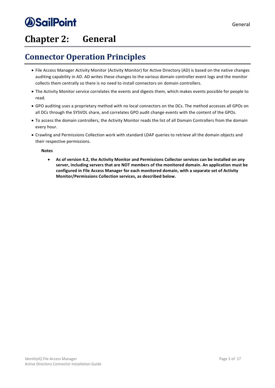## <span id="page-7-0"></span>**Chapter 2: General**

## <span id="page-7-1"></span>**Connector Operation Principles**

- File Access Manager Activity Monitor (Activity Monitor) for Active Directory (AD) is based on the native changes auditing capability in AD. AD writes these changes to the various domain controller event logs and the monitor collects them centrally so there is no need to install connectors on domain controllers.
- The Activity Monitor service correlates the events and digests them, which makes events possible for people to read.
- GPO auditing uses a proprietary method with no local connectors on the DCs. The method accesses all GPOs on all DCs through the SYSVOL share, and correlates GPO audit change events with the content of the GPOs.
- To access the domain controllers, the Activity Monitor reads the list of all Domain Controllers from the domain every hour.
- Crawling and Permissions Collection work with standard LDAP queries to retrieve all the domain objects and their respective permissions.

**Notes**

• **As of version 4.2, the Activity Monitor and Permissions Collector services can be installed on any server, including servers that are NOT members of the monitored domain. An application must be configured in File Access Manager for each monitored domain, with a separate set of Activity Monitor/Permissions Collection services, as described below.**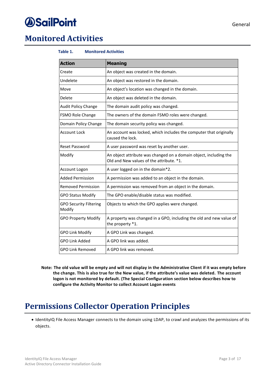## *<u>OSailPoint</u>*

### <span id="page-8-2"></span><span id="page-8-0"></span>**Monitored Activities**

### **Table 1. Monitored Activities**

| <b>Action</b>                           | <b>Meaning</b>                                                                                                |  |  |
|-----------------------------------------|---------------------------------------------------------------------------------------------------------------|--|--|
| Create                                  | An object was created in the domain.                                                                          |  |  |
| Undelete                                | An object was restored in the domain.                                                                         |  |  |
| Move                                    | An object's location was changed in the domain.                                                               |  |  |
| Delete                                  | An object was deleted in the domain.                                                                          |  |  |
| Audit Policy Change                     | The domain audit policy was changed.                                                                          |  |  |
| FSMO Role Change                        | The owners of the domain FSMO roles were changed.                                                             |  |  |
| Domain Policy Change                    | The domain security policy was changed.                                                                       |  |  |
| <b>Account Lock</b>                     | An account was locked, which includes the computer that originally<br>caused the lock.                        |  |  |
| <b>Reset Password</b>                   | A user password was reset by another user.                                                                    |  |  |
| Modify                                  | An object attribute was changed on a domain object, including the<br>Old and New values of the attribute. *1. |  |  |
| Account Logon                           | A user logged on in the domain*2.                                                                             |  |  |
| <b>Added Permission</b>                 | A permission was added to an object in the domain.                                                            |  |  |
| <b>Removed Permission</b>               | A permission was removed from an object in the domain.                                                        |  |  |
| <b>GPO Status Modify</b>                | The GPO enable/disable status was modified.                                                                   |  |  |
| <b>GPO Security Filtering</b><br>Modify | Objects to which the GPO applies were changed.                                                                |  |  |
| <b>GPO Property Modify</b>              | A property was changed in a GPO, including the old and new value of<br>the property *1.                       |  |  |
| <b>GPO Link Modify</b>                  | A GPO Link was changed.                                                                                       |  |  |
| <b>GPO Link Added</b>                   | A GPO link was added.                                                                                         |  |  |
| <b>GPO Link Removed</b>                 | A GPO link was removed.                                                                                       |  |  |

**Note: The old value will be empty and will not display in the Administrative Client if it was empty before the change. This is also true for the New value, if the attribute's value was deleted. The account logon is not monitored by default. (The Special Configuration section below describes how to configure the Activity Monitor to collect Account Logon events**

## <span id="page-8-1"></span>**Permissions Collector Operation Principles**

• IdentityIQ File Access Manager connects to the domain using LDAP, to crawl and analyzes the permissions of its objects.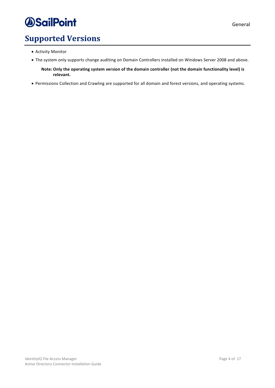## <span id="page-9-0"></span>**Supported Versions**

- Activity Monitor
- The system only supports change auditing on Domain Controllers installed on Windows Server 2008 and above.

**Note: Only the operating system version of the domain controller (not the domain functionality level) is relevant.** 

• Permissions Collection and Crawling are supported for all domain and forest versions, and operating systems.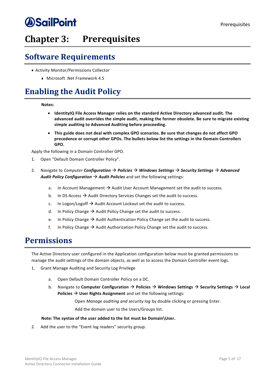## <span id="page-10-0"></span>**Chapter 3: Prerequisites**

### <span id="page-10-1"></span>**Software Requirements**

- Activity Monitor/Permissions Collector
	- <sup>⧫</sup> Microsoft .Net Framework 4.5

## <span id="page-10-2"></span>**Enabling the Audit Policy**

### **Notes:**

- **IdentityIQ File Access Manager relies on the standard Active Directory advanced audit. The advanced audit overrides the simple audit, making the former obsolete. Be sure to migrate existing simple auditing to Advanced Auditing before proceeding.**
- **This guide does not deal with complex GPO scenarios. Be sure that changes do not affect GPO precedence or corrupt other GPOs. The bullets below list the settings in the Domain Controllers GPO.**

Apply the following in a Domain Controller GPO.

- 1. Open "Default Domain Controller Policy".
- 2. Navigate to *Computer Configuration* → *Policies* → *Windows Settings* → *Security Settings* → *Advanced Audit Policy Configuration* → *Audit Policies* and set the following settings:
	- a. In Account Management  $\rightarrow$  Audit User Account Management set the audit to success.
	- b. In DS Access  $\rightarrow$  Audit Directory Services Changes set the audit to success.
	- c. In Logon/Logoff  $\rightarrow$  Audit Account Lockout set the audit to success.
	- d. In Policy Change  $\rightarrow$  Audit Policy Change set the audit to success.
	- e. In Policy Change  $\rightarrow$  Audit Authentication Policy Change set the audit to success.
	- f. In Policy Change  $\rightarrow$  Audit Authorization Policy Change set the audit to success.

### <span id="page-10-3"></span>**Permissions**

The Active Directory user configured in the Application configuration below must be granted permissions to manage the audit settings of the domain objects, as well as to access the Domain Controller event logs.

- 1. Grant Manage Auditing and Security Log Privilege
	- a. Open Default Domain Controller Policy on a DC.
	- b. Navigate to **Computer Configuration** → **Policies** → **Windows Settings** → **Security Settings** → **Local Policies → User Rights Assignment** and set the following settings:

Open *Manage auditing and security log* by double clicking or pressing Enter. Add the domain user to the Users/Groups list.

### **Note: The syntax of the user added to the list must be Domain\User.**

2. Add the user to the "Event log readers" security group.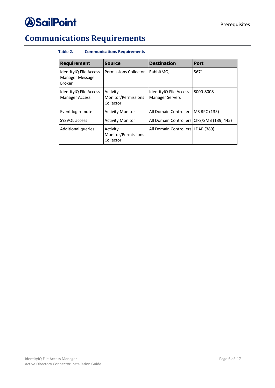## <span id="page-11-1"></span><span id="page-11-0"></span>**Communications Requirements**

### **Table 2. Communications Requirements**

| <b>Requirement</b>                                         | <b>Source</b>                                | <b>Destination</b>                               | <b>Port</b> |
|------------------------------------------------------------|----------------------------------------------|--------------------------------------------------|-------------|
| IdentityIQ File Access<br>Manager Message<br><b>Broker</b> | Permissions Collector                        | RabbitMQ                                         | 5671        |
| IdentityIQ File Access<br><b>Manager Access</b>            | Activity<br>Monitor/Permissions<br>Collector | IdentityIQ File Access<br><b>Manager Servers</b> | 8000-8008   |
| Event log remote                                           | <b>Activity Monitor</b>                      | All Domain Controllers   MS RPC (135)            |             |
| <b>SYSVOL access</b>                                       | <b>Activity Monitor</b>                      | All Domain Controllers   CIFS/SMB (139, 445)     |             |
| Additional queries                                         | Activity<br>Monitor/Permissions<br>Collector | All Domain Controllers   LDAP (389)              |             |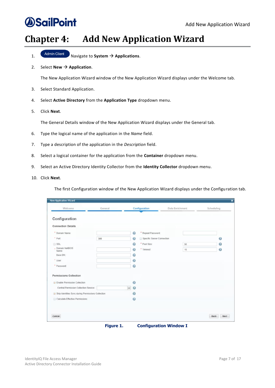### <span id="page-12-0"></span>**Chapter 4: Add New Application Wizard**

- 1. Navigate to **System** → **Applications**.
- 2. Select **New**  $\rightarrow$  **Application**.

The New Application Wizard window of the New Application Wizard displays under the Welcome tab.

- 3. Select Standard Application.
- 4. Select **Active Directory** from the **Application Type** dropdown menu.
- 5. Click **Next**.

The General Details window of the New Application Wizard displays under the General tab.

- 6. Type the logical name of the application in the *Name* field.
- 7. Type a description of the application in the *Description* field.
- 8. Select a logical container for the application from the **Container** dropdown menu.
- 9. Select an Active Directory Identity Collector from the **Identity Collector** dropdown menu.
- 10. Click **Next**.

The first Configuration window of the New Application Wizard displays under the Configuration tab.

<span id="page-12-1"></span>

| Welcome                                            | General |                                 | Configuration              | Data Enrichment | Scheduling            |
|----------------------------------------------------|---------|---------------------------------|----------------------------|-----------------|-----------------------|
| Configuration                                      |         |                                 |                            |                 |                       |
| <b>Connection Details</b>                          |         |                                 |                            |                 |                       |
| * Domain Name:                                     |         | $\boldsymbol{v}$                | * Repeat Password:         |                 |                       |
| * Port:                                            | 389     | €                               | Specific Server Connection |                 | $\bullet$             |
| SSL                                                |         | $\boldsymbol{\Omega}$           | * Pool Size:               | 50              | $\bullet$             |
| - Domain NetBIOS<br>Name:                          |         | 0                               | * Timeout:                 | 15              | $\boldsymbol{\Omega}$ |
| Base DN:                                           |         | $\boldsymbol{\Omega}$           |                            |                 |                       |
| * User:                                            |         | $\boldsymbol{\Omega}$           |                            |                 |                       |
| * Password:                                        |         | $\bullet$                       |                            |                 |                       |
| <b>Permissions Collection</b>                      |         |                                 |                            |                 |                       |
| <b>Enable Permission Collection</b>                |         | $\boldsymbol{c}$                |                            |                 |                       |
| Central Permission Collection Service:             |         | $\boldsymbol{Q}$<br>$\check{~}$ |                            |                 |                       |
| Skip Identities Sync during Permissions Collection |         | $\odot$                         |                            |                 |                       |
| Calculate Effective Permissions                    |         | $\boldsymbol{\Omega}$           |                            |                 |                       |
|                                                    |         |                                 |                            |                 |                       |
| Cancel                                             |         |                                 |                            |                 | Back<br>Next          |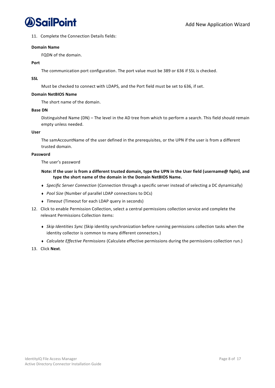

11. Complete the Connection Details fields:

#### **Domain Name**

FQDN of the domain.

#### **Port**

The communication port configuration. The port value must be 389 or 636 if SSL is checked.

### **SSL**

Must be checked to connect with LDAPS, and the Port field must be set to 636, if set.

### **Domain NetBIOS Name**

The short name of the domain.

### **Base DN**

Distinguished Name (DN) – The level in the AD tree from which to perform a search. This field should remain empty unless needed.

### **User**

The samAccountName of the user defined in the prerequisites, or the UPN if the user is from a different trusted domain.

#### **Password**

The user's password

### **Note: If the user is from a different trusted domain, type the UPN in the User field (username@ fqdn), and type the short name of the domain in the Domain NetBIOS Name.**

- <sup>⧫</sup> *Specific Server Connection* (Connection through a specific server instead of selecting a DC dynamically)
- <sup>⧫</sup> *Pool Size* (Number of parallel LDAP connections to DCs)
- <sup>⧫</sup> *Timeout* (Timeout for each LDAP query in seconds)
- 12. Click to enable Permission Collection, select a central permissions collection service and complete the relevant Permissions Collection items:
	- <sup>⧫</sup> *Skip Identities Sync* (Skip identity synchronization before running permissions collection tasks when the identity collector is common to many different connectors.)
	- <sup>⧫</sup> *Calculate Effective Permissions* (Calculate effective permissions during the permissions collection run.)
- 13. Click **Next**.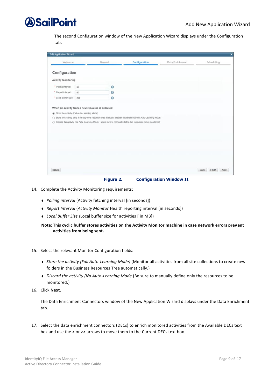

The second Configuration window of the New Application Wizard displays under the Configuration tab.

| Welcome                    |                                              | General<br>and the control of the control of                                                                   | Configuration | Data Enrichment | Scheduling |
|----------------------------|----------------------------------------------|----------------------------------------------------------------------------------------------------------------|---------------|-----------------|------------|
| Configuration              |                                              |                                                                                                                |               |                 |            |
| <b>Activity Monitoring</b> |                                              |                                                                                                                |               |                 |            |
| * Polling Interval:        | 60                                           | $\odot$                                                                                                        |               |                 |            |
| * Report Interval:         | 60                                           | $\odot$                                                                                                        |               |                 |            |
| * Local Buffer Size:       | 200                                          | $\odot$                                                                                                        |               |                 |            |
|                            | Store the activity (Full Auto-Learning Mode) | ○ Store the activity, only if the top-level resource was manually created in advance (Semi Auto-Learning Mode) |               |                 |            |
|                            |                                              | ○ Discard the activity (No Auto-Learning Mode - Make sure to manually define the resources to be monitored)    |               |                 |            |
|                            |                                              |                                                                                                                |               |                 |            |
|                            |                                              |                                                                                                                |               |                 |            |
|                            |                                              |                                                                                                                |               |                 |            |
|                            |                                              |                                                                                                                |               |                 |            |
|                            |                                              |                                                                                                                |               |                 |            |
|                            |                                              |                                                                                                                |               |                 |            |

**Figure 2. Configuration Window II**

- <span id="page-14-0"></span>14. Complete the Activity Monitoring requirements:
	- <sup>⧫</sup> *Polling interval* (Activity fetching interval [in seconds])
	- <sup>⧫</sup> *Report Interval* (*Activity Monitor* Health reporting interval [in seconds])
	- <sup>⧫</sup> *Local Buffer Size (*Local buffer size for activities [ in MB])

**Note: This cyclic buffer stores activities on the Activity Monitor machine in case network errors prevent activities from being sent.**

- 15. Select the relevant Monitor Configuration fields:
	- <sup>⧫</sup> *Store the activity (Full Auto-Learning Mode)* (Monitor all activities from all site collections to create new folders in the Business Resources Tree automatically.)
	- <sup>⧫</sup> *Discard the activity (No Auto-Learning Mode* (Be sure to manually define only the resources to be monitored.)
- 16. Click **Next**.

The Data Enrichment Connectors window of the New Application Wizard displays under the Data Enrichment tab.

17. Select the data enrichment connectors (DECs) to enrich monitored activities from the Available DECs text box and use the > or >> arrows to move them to the Current DECs text box.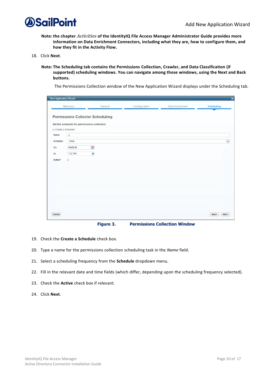

- **Note: the chapter** *Activities* **of the IdentityIQ File Access Manager Administrator Guide provides more information on Data Enrichment Connectors, including what they are, how to configure them, and how they fit in the Activity Flow.**
- 18. Click **Next**.
	- **Note: The Scheduling tab contains the Permissions Collection, Crawler, and Data Classification (if supported) scheduling windows. You can navigate among those windows, using the Next and Back buttons.**

The Permissions Collection window of the New Application Wizard displays under the Scheduling tab.

| <b>New Application Wizard</b>                                    |                                                                                                                   |                                                   |               |                 | $\boldsymbol{\mathsf{x}}$ |
|------------------------------------------------------------------|-------------------------------------------------------------------------------------------------------------------|---------------------------------------------------|---------------|-----------------|---------------------------|
|                                                                  | Welcome                                                                                                           | General                                           | Configuration | Data Enrichment | <b>Scheduling</b>         |
| Create a Schedule?<br>Name:<br>Schedule:<br>On:<br>At<br>Active? | Set the schedule for permissions collection<br>$\tt q$<br>Once<br>5/9/2018<br>7:52 PM<br>$\overline{\mathcal{L}}$ | <b>Permissions Collector Scheduling</b><br>ä<br>× |               |                 | $\checkmark$              |
| Cancel                                                           |                                                                                                                   |                                                   |               |                 | Back<br>Next              |

**Figure 3. Permissions Collection Window**

- <span id="page-15-0"></span>19. Check the **Create a Schedule** check box.
- 20. Type a name for the permissions collection scheduling task in the *Name* field.
- 21. Select a scheduling frequency from the **Schedule** dropdown menu.
- 22. Fill in the relevant date and time fields (which differ, depending upon the scheduling frequency selected).
- 23. Check the **Active** check box if relevant.
- 24. Click **Next**.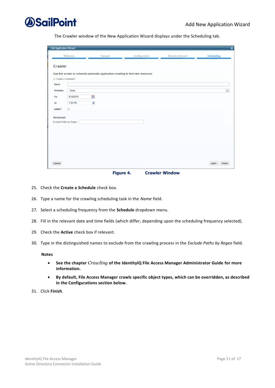

The Crawler window of the New Application Wizard displays under the Scheduling tab.

| <b>Edit Application Wizard</b> |                         |                                                                                  |               |                 | $\overline{\mathbf{x}}$ |
|--------------------------------|-------------------------|----------------------------------------------------------------------------------|---------------|-----------------|-------------------------|
|                                | Welcome                 | General                                                                          | Configuration | Data Enrichment | <b>Scheduling</b>       |
| Crawler<br>Create a Schedule?  |                         | Use this screen to schedule automatic application crawling to find new resources |               |                 |                         |
| Name:                          |                         |                                                                                  |               |                 |                         |
| Schedule:                      | Once                    |                                                                                  |               |                 | $\checkmark$            |
| On:                            | 5/10/2018               | m                                                                                |               |                 |                         |
| At:                            | 7:50 PM                 | ×                                                                                |               |                 |                         |
| Active?<br>Advanced            | $\overline{\mathbf{v}}$ |                                                                                  |               |                 |                         |
| Exclude Paths by Regex:        |                         |                                                                                  |               |                 |                         |
|                                |                         |                                                                                  |               |                 |                         |
|                                |                         |                                                                                  |               |                 |                         |
|                                |                         |                                                                                  |               |                 |                         |
|                                |                         |                                                                                  |               |                 |                         |
| Cancel                         |                         |                                                                                  |               |                 | Finish<br>Back          |

**Figure 4. Crawler Window**

- <span id="page-16-0"></span>25. Check the **Create a Schedule** check box.
- 26. Type a name for the crawling scheduling task in the *Name* field.
- 27. Select a scheduling frequency from the **Schedule** dropdown menu.
- 28. Fill in the relevant date and time fields (which differ, depending upon the scheduling frequency selected).
- 29. Check the **Active** check box if relevant.
- 30. Type in the distinguished names to exclude from the crawling process in the *Exclude Paths by Regex* field.

#### **Notes**

- **See the chapter** *Crawling* **of the IdentityIQ File Access Manager Administrator Guide for more information.**
- **By default, File Access Manager crawls specific object types, which can be overridden, as described in the Configurations section below.**
- 31. Click **Finish**.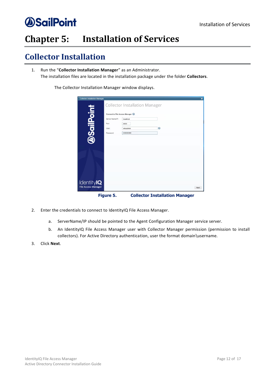### <span id="page-17-0"></span>**Installation of Services Chapter 5:**

## <span id="page-17-1"></span>**Collector Installation**

1. Run the "**Collector Installation Manager**" as an Administrator. The installation files are located in the installation package under the folder **Collectors**.

The Collector Installation Manager window displays.

| <b>Collector Installation Manager</b>           |                                                                                 |                                       |                                       | $\overline{\mathbf{x}}$ |
|-------------------------------------------------|---------------------------------------------------------------------------------|---------------------------------------|---------------------------------------|-------------------------|
|                                                 |                                                                                 | <b>Collector Installation Manager</b> |                                       |                         |
| <b>DSailPoint</b>                               | Connect to File Access Manager<br>Server Name/IP:<br>Port<br>User:<br>Password: | localhost<br>8000<br>wbxadmin<br>     | $\bullet$                             |                         |
|                                                 |                                                                                 |                                       |                                       |                         |
|                                                 |                                                                                 |                                       |                                       |                         |
| <b>IdentityIQ</b><br><b>File Access Manager</b> |                                                                                 |                                       |                                       | Next                    |
|                                                 | Figure 5.                                                                       |                                       | <b>Collector Installation Manager</b> |                         |

- <span id="page-17-2"></span>2. Enter the credentials to connect to IdentityIQ File Access Manager.
	- a. ServerName/IP should be pointed to the Agent Configuration Manager service server.
	- b. An IdentityIQ File Access Manager user with Collector Manager permission (permission to install collectors). For Active Directory authentication, user the format domain\username.
- 3. Click **Next**.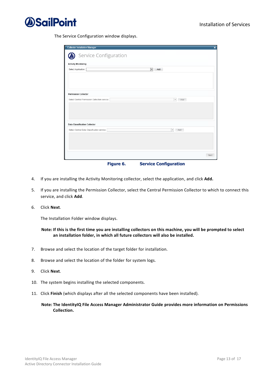

The Service Configuration window displays.

| <b>Collector Installation Manager</b>         | $\overline{\mathbf{x}}$         |
|-----------------------------------------------|---------------------------------|
| Service Configuration                         |                                 |
| <b>Activity Monitoring</b>                    |                                 |
| Select Application:                           | $\overline{\phantom{a}}$<br>Add |
|                                               |                                 |
|                                               |                                 |
|                                               |                                 |
|                                               |                                 |
| <b>Permission Collector</b>                   |                                 |
| Select Central Permission Collection service: | $\overline{\phantom{a}}$<br>Add |
|                                               |                                 |
|                                               |                                 |
|                                               |                                 |
|                                               |                                 |
| <b>Data Classification Collector</b>          |                                 |
| Select Central Data Classification service:   | $\overline{\phantom{a}}$<br>Add |
|                                               |                                 |
|                                               |                                 |
|                                               |                                 |
|                                               |                                 |
|                                               | Next                            |
| Figure 6.                                     | <b>Service Configuration</b>    |

- <span id="page-18-0"></span>4. If you are installing the Activity Monitoring collector, select the application, and click **Add.**
- 5. If you are installing the Permission Collector, select the Central Permission Collector to which to connect this service, and click **Add**.
- 6. Click **Next**.

The Installation Folder window displays.

### **Note: If this is the first time you are installing collectors on this machine, you will be prompted to select an installation folder, in which all future collectors will also be installed.**

- 7. Browse and select the location of the target folder for installation.
- 8. Browse and select the location of the folder for system logs.
- 9. Click **Next**.
- 10. The system begins installing the selected components.
- 11. Click **Finish** (which displays after all the selected components have been installed).

**Note: The IdentityIQ File Access Manager Administrator Guide provides more information on Permissions Collection.**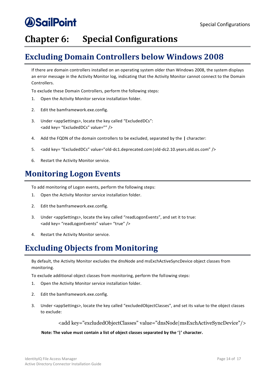## <span id="page-19-0"></span>**Chapter 6:** Special Configurations

### <span id="page-19-1"></span>**Excluding Domain Controllers below Windows 2008**

If there are domain controllers installed on an operating system older than Windows 2008, the system displays an error message in the Activity Monitor log, indicating that the Activity Monitor cannot connect to the Domain Controllers.

To exclude these Domain Controllers, perform the following steps:

- 1. Open the Activity Monitor service installation folder.
- 2. Edit the bamframework.exe.config.
- 3. Under <appSettings>, locate the key called "ExcludedDCs": <add key= "ExcludedDCs" value="" />
- 4. Add the FQDN of the domain controllers to be excluded, separated by the **|** character:
- 5. <add key= "ExcludedDCs" value="old-dc1.deprecated.com|old-dc2.10.years.old.os.com" />
- 6. Restart the Activity Monitor service.

### <span id="page-19-2"></span>**Monitoring Logon Events**

To add monitoring of Logon events, perform the following steps:

- 1. Open the Activity Monitor service installation folder.
- 2. Edit the bamframework.exe.config.
- 3. Under <appSettings>, locate the key called "readLogonEvents", and set it to true: <add key= "readLogonEvents" value= "true" />
- 4. Restart the Activity Monitor service.

### <span id="page-19-3"></span>**Excluding Objects from Monitoring**

By default, the Activity Monitor excludes the dnsNode and msExchActiveSyncDevice object classes from monitoring.

To exclude additional object classes from monitoring, perform the following steps:

- 1. Open the Activity Monitor service installation folder.
- 2. Edit the bamframework.exe.config.
- 3. Under <appSettings>, locate the key called "excludedObjectClasses", and set its value to the object classes to exclude:

<add key="excludedObjectClasses" value="dnsNode|msExchActiveSyncDevice"/>

### **Note: The value must contain a list of object classes separated by the '|' character.**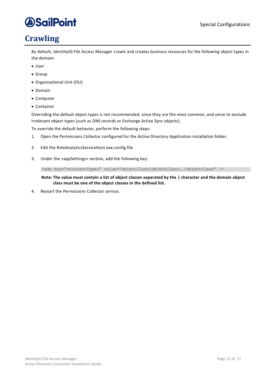## <span id="page-20-0"></span>**Crawling**

By default, IdentityIQ File Access Manager crawls and creates business resources for the following object types in the domain:

- User
- Group
- Organizational Unit (OU)
- Domain
- Computer
- Container

Overriding the default object types is not recommended, since they are the most common, and serve to exclude irrelevant object types (such as DNS records or Exchange Active Sync objects).

To override the default behavior, perform the following steps:

- 1. Open the Permissions Collector configured for the Active Directory Application installation folder.
- 2. Edit the RoleAnalyticsServiceHost.exe.config file
- 3. Under the <appSettings> section, add the following key:

<add key="relevantTypes" value="objectClass|objectClass|…|objectClass" />

**Note: The value must contain a list of object classes separated by the | character and the domain object class must be one of the object classes in the defined list.**

4. Restart the Permissions Collector service.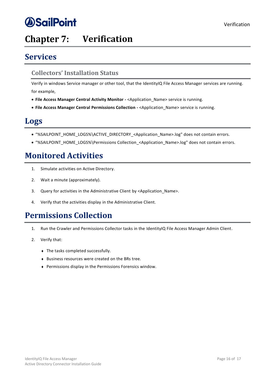## <span id="page-21-0"></span>**Verification**

## <span id="page-21-1"></span>**Services**

### <span id="page-21-2"></span>**Collectors' Installation Status**

Verify in windows Service manager or other tool, that the IdentityIQ File Access Manager services are running. for example,

- **File Access Manager Central Activity Monitor -** <Application\_Name> service is running.
- **File Access Manager Central Permissions Collection -** <Application\_Name> service is running.

### <span id="page-21-3"></span>**Logs**

- "%SAILPOINT\_HOME\_LOGS%\ACTIVE\_DIRECTORY\_<Application\_Name>.log" does not contain errors.
- "%SAILPOINT\_HOME\_LOGS%\Permissions Collection\_<Application\_Name>.log" does not contain errors.

### <span id="page-21-4"></span>**Monitored Activities**

- 1. Simulate activities on Active Directory.
- 2. Wait a minute (approximately).
- 3. Query for activities in the Administrative Client by <Application Name>.
- 4. Verify that the activities display in the Administrative Client.

### <span id="page-21-5"></span>**Permissions Collection**

- 1. Run the Crawler and Permissions Collector tasks in the IdentityIQ File Access Manager Admin Client.
- 2. Verify that:
	- ◆ The tasks completed successfully.
	- <sup>⧫</sup> Business resources were created on the BRs tree.
	- <sup>⧫</sup> Permissions display in the Permissions Forensics window.